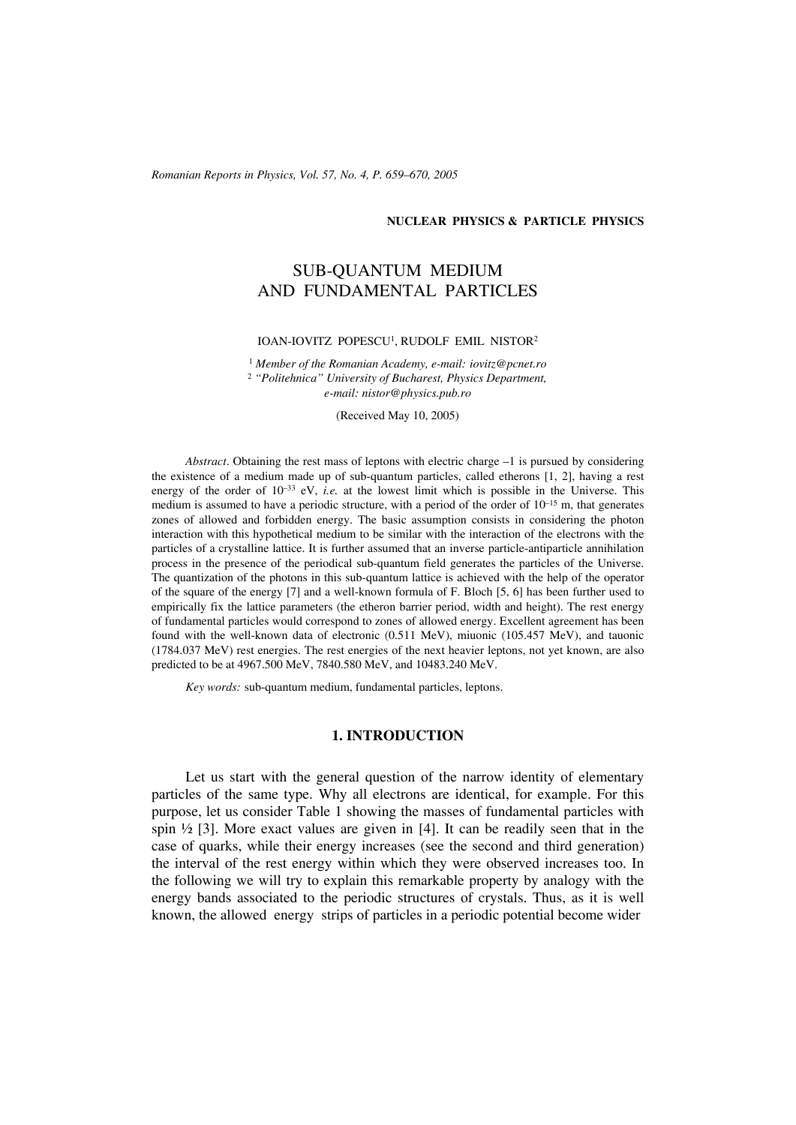#### **NUCLEAR PHYSICS & PARTICLE PHYSICS**

# SUB-QUANTUM MEDIUM AND FUNDAMENTAL PARTICLES

#### IOAN-IOVITZ POPESCU1, RUDOLF EMIL NISTOR2

<sup>1</sup> *Member of the Romanian Academy, e-mail: iovitz@pcnet.ro* <sup>2</sup> *"Politehnica" University of Bucharest, Physics Department, e-mail: nistor@physics.pub.ro*

(Received May 10, 2005)

*Abstract*. Obtaining the rest mass of leptons with electric charge –1 is pursued by considering the existence of a medium made up of sub-quantum particles, called etherons [1, 2], having a rest energy of the order of  $10^{-33}$  eV, *i.e.* at the lowest limit which is possible in the Universe. This medium is assumed to have a periodic structure, with a period of the order of  $10^{-15}$  m, that generates zones of allowed and forbidden energy. The basic assumption consists in considering the photon interaction with this hypothetical medium to be similar with the interaction of the electrons with the particles of a crystalline lattice. It is further assumed that an inverse particle-antiparticle annihilation process in the presence of the periodical sub-quantum field generates the particles of the Universe. The quantization of the photons in this sub-quantum lattice is achieved with the help of the operator of the square of the energy [7] and a well-known formula of F. Bloch [5, 6] has been further used to empirically fix the lattice parameters (the etheron barrier period, width and height). The rest energy of fundamental particles would correspond to zones of allowed energy. Excellent agreement has been found with the well-known data of electronic (0.511 MeV), miuonic (105.457 MeV), and tauonic (1784.037 MeV) rest energies. The rest energies of the next heavier leptons, not yet known, are also predicted to be at 4967.500 MeV, 7840.580 MeV, and 10483.240 MeV.

*Key words:* sub-quantum medium, fundamental particles, leptons.

#### **1. INTRODUCTION**

Let us start with the general question of the narrow identity of elementary particles of the same type. Why all electrons are identical, for example. For this purpose, let us consider Table 1 showing the masses of fundamental particles with spin  $\frac{1}{2}$  [3]. More exact values are given in [4]. It can be readily seen that in the case of quarks, while their energy increases (see the second and third generation) the interval of the rest energy within which they were observed increases too. In the following we will try to explain this remarkable property by analogy with the energy bands associated to the periodic structures of crystals. Thus, as it is well known, the allowed energy strips of particles in a periodic potential become wider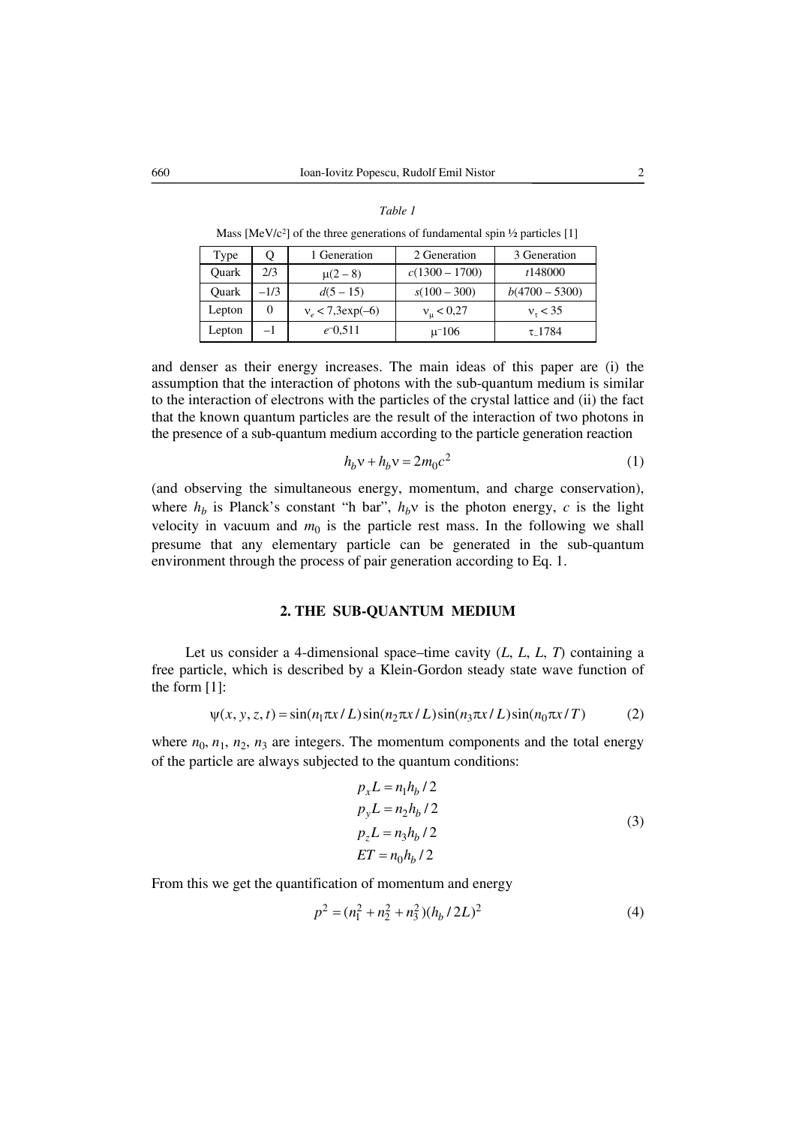#### *Table 1*

Mass  $[MeV/c<sup>2</sup>]$  of the three generations of fundamental spin  $\frac{1}{2}$  particles [1]

| Type   | ( )      | 1 Generation         | 2 Generation       | 3 Generation     |
|--------|----------|----------------------|--------------------|------------------|
| Ouark  | 2/3      | $\mu(2-8)$           | $c(1300 - 1700)$   | t148000          |
| Ouark  | $-1/3$   | $d(5-15)$            | $s(100-300)$       | $b(4700 - 5300)$ |
| Lepton | $\theta$ | $v_e < 7,3 \exp(-6)$ | $v_{\rm u}$ < 0,27 | $v_{\tau}$ < 35  |
| Lepton | $-1$     | $e^{-0.511}$         | $\mu$ -106         | τ 1784           |

and denser as their energy increases. The main ideas of this paper are (i) the assumption that the interaction of photons with the sub-quantum medium is similar to the interaction of electrons with the particles of the crystal lattice and (ii) the fact that the known quantum particles are the result of the interaction of two photons in the presence of a sub-quantum medium according to the particle generation reaction

$$
h_b v + h_b v = 2m_0 c^2 \tag{1}
$$

(and observing the simultaneous energy, momentum, and charge conservation), where  $h_b$  is Planck's constant "h bar",  $h_b v$  is the photon energy, *c* is the light velocity in vacuum and  $m_0$  is the particle rest mass. In the following we shall presume that any elementary particle can be generated in the sub-quantum environment through the process of pair generation according to Eq. 1.

#### **2. THE SUB-QUANTUM MEDIUM**

Let us consider a 4-dimensional space–time cavity (*L*, *L*, *L*, *T*) containing a free particle, which is described by a Klein-Gordon steady state wave function of the form [1]:

$$
\psi(x, y, z, t) = \sin(n_1 \pi x / L) \sin(n_2 \pi x / L) \sin(n_3 \pi x / L) \sin(n_0 \pi x / T)
$$
 (2)

where  $n_0$ ,  $n_1$ ,  $n_2$ ,  $n_3$  are integers. The momentum components and the total energy of the particle are always subjected to the quantum conditions:

$$
p_x L = n_1 h_b / 2
$$
  
\n
$$
p_y L = n_2 h_b / 2
$$
  
\n
$$
p_z L = n_3 h_b / 2
$$
  
\n
$$
ET = n_0 h_b / 2
$$
\n(3)

From this we get the quantification of momentum and energy

$$
p^2 = (n_1^2 + n_2^2 + n_3^2)(h_b / 2L)^2
$$
 (4)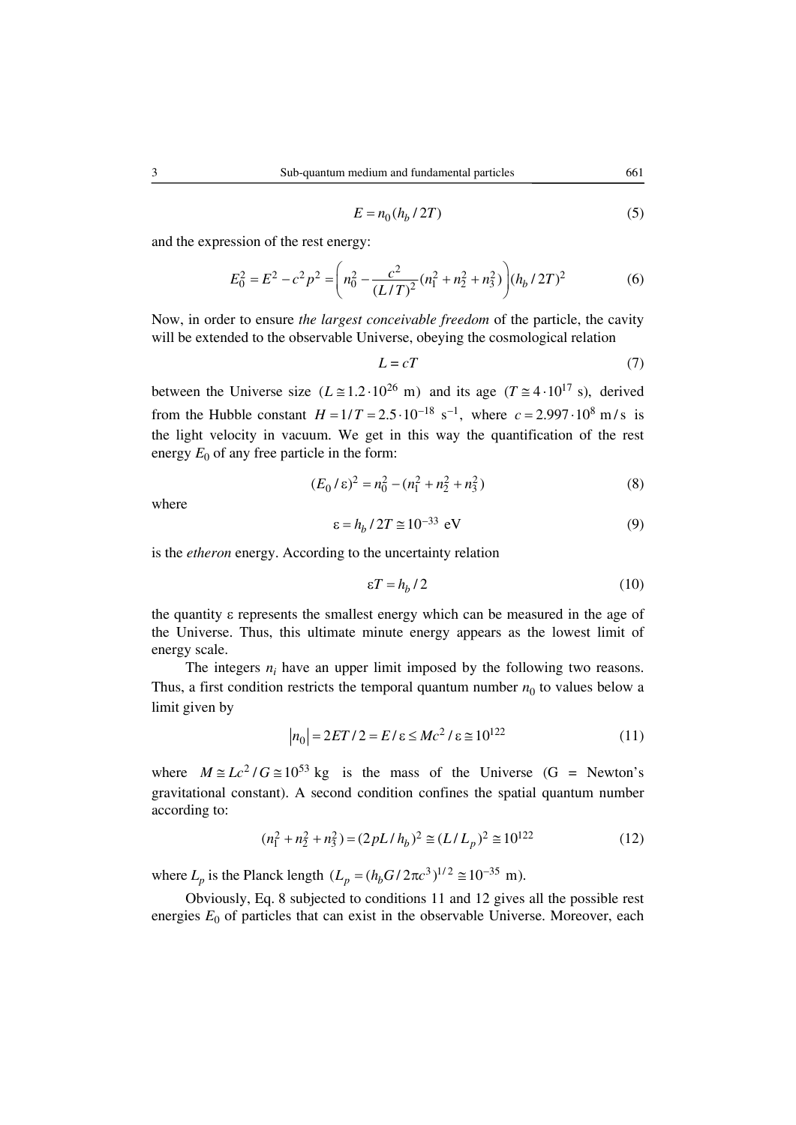$$
E = n_0 (h_b / 2T) \tag{5}
$$

and the expression of the rest energy:

$$
E_0^2 = E^2 - c^2 p^2 = \left( n_0^2 - \frac{c^2}{(L/T)^2} (n_1^2 + n_2^2 + n_3^2) \right) (h_b / 2T)^2
$$
 (6)

Now, in order to ensure *the largest conceivable freedom* of the particle, the cavity will be extended to the observable Universe, obeying the cosmological relation

$$
L = cT \tag{7}
$$

between the Universe size  $(L \approx 1.2 \cdot 10^{26} \text{ m})$  and its age  $(T \approx 4 \cdot 10^{17} \text{ s})$ , derived from the Hubble constant  $H = 1/T = 2.5 \cdot 10^{-18} \text{ s}^{-1}$ , where  $c = 2.997 \cdot 10^8 \text{ m/s}$  is the light velocity in vacuum. We get in this way the quantification of the rest energy  $E_0$  of any free particle in the form:

$$
(E_0/\varepsilon)^2 = n_0^2 - (n_1^2 + n_2^2 + n_3^2)
$$
 (8)

where

$$
\varepsilon = h_b / 2T \approx 10^{-33} \text{ eV}
$$
 (9)

is the *etheron* energy. According to the uncertainty relation

$$
\varepsilon T = h_b / 2 \tag{10}
$$

the quantity ε represents the smallest energy which can be measured in the age of the Universe. Thus, this ultimate minute energy appears as the lowest limit of energy scale.

The integers  $n_i$  have an upper limit imposed by the following two reasons. Thus, a first condition restricts the temporal quantum number  $n_0$  to values below a limit given by

$$
|n_0| = 2ET/2 = E/\varepsilon \le Mc^2/\varepsilon \cong 10^{122}
$$
 (11)

where  $M \approx Lc^2/G \approx 10^{53}$  kg is the mass of the Universe (G = Newton's gravitational constant). A second condition confines the spatial quantum number according to:

$$
(n_1^2 + n_2^2 + n_3^2) = (2pL/h_b)^2 \approx (L/L_p)^2 \approx 10^{122}
$$
 (12)

where  $L_p$  is the Planck length  $(L_p = (h_b G / 2\pi c^3)^{1/2} \approx 10^{-35}$  m).

Obviously, Eq. 8 subjected to conditions 11 and 12 gives all the possible rest energies  $E_0$  of particles that can exist in the observable Universe. Moreover, each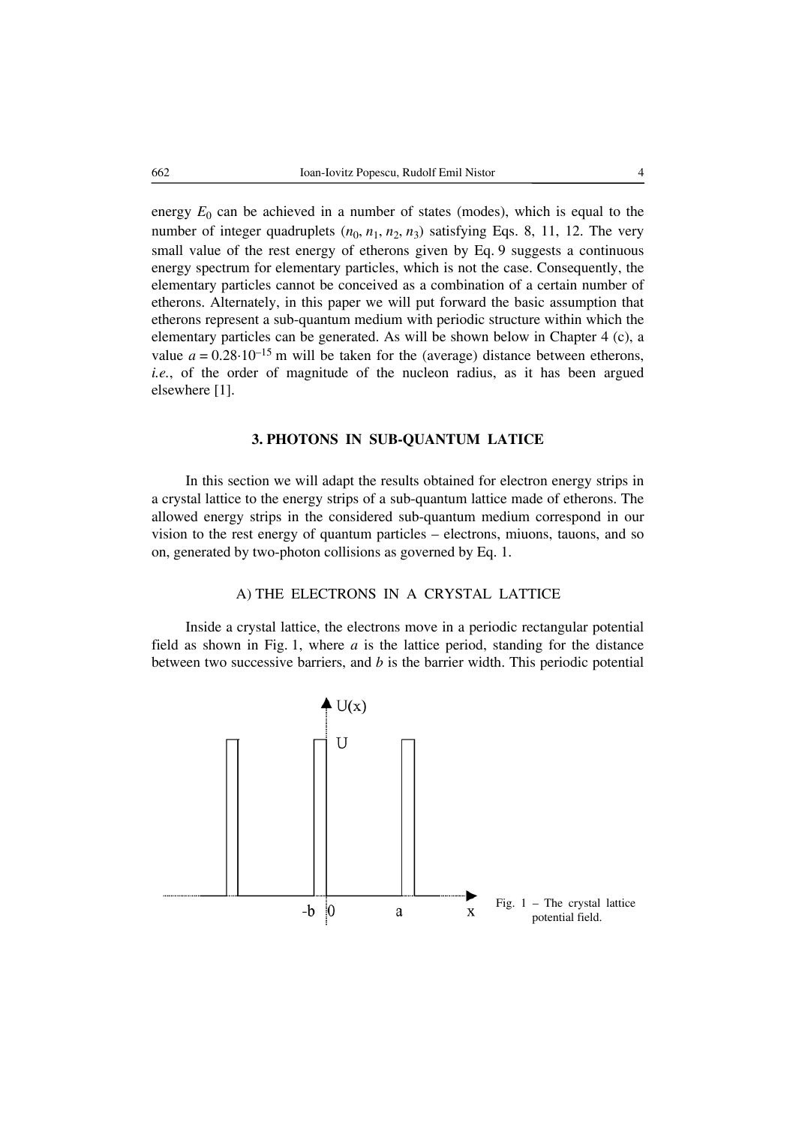energy  $E_0$  can be achieved in a number of states (modes), which is equal to the number of integer quadruplets  $(n_0, n_1, n_2, n_3)$  satisfying Eqs. 8, 11, 12. The very small value of the rest energy of etherons given by Eq. 9 suggests a continuous energy spectrum for elementary particles, which is not the case. Consequently, the elementary particles cannot be conceived as a combination of a certain number of etherons. Alternately, in this paper we will put forward the basic assumption that etherons represent a sub-quantum medium with periodic structure within which the elementary particles can be generated. As will be shown below in Chapter 4 (c), a value  $a = 0.28 \cdot 10^{-15}$  m will be taken for the (average) distance between etherons, *i.e.*, of the order of magnitude of the nucleon radius, as it has been argued elsewhere [1].

## **3. PHOTONS IN SUB-QUANTUM LATICE**

In this section we will adapt the results obtained for electron energy strips in a crystal lattice to the energy strips of a sub-quantum lattice made of etherons. The allowed energy strips in the considered sub-quantum medium correspond in our vision to the rest energy of quantum particles – electrons, miuons, tauons, and so on, generated by two-photon collisions as governed by Eq. 1.

# A) THE ELECTRONS IN A CRYSTAL LATTICE

Inside a crystal lattice, the electrons move in a periodic rectangular potential field as shown in Fig. 1, where *a* is the lattice period, standing for the distance between two successive barriers, and *b* is the barrier width. This periodic potential

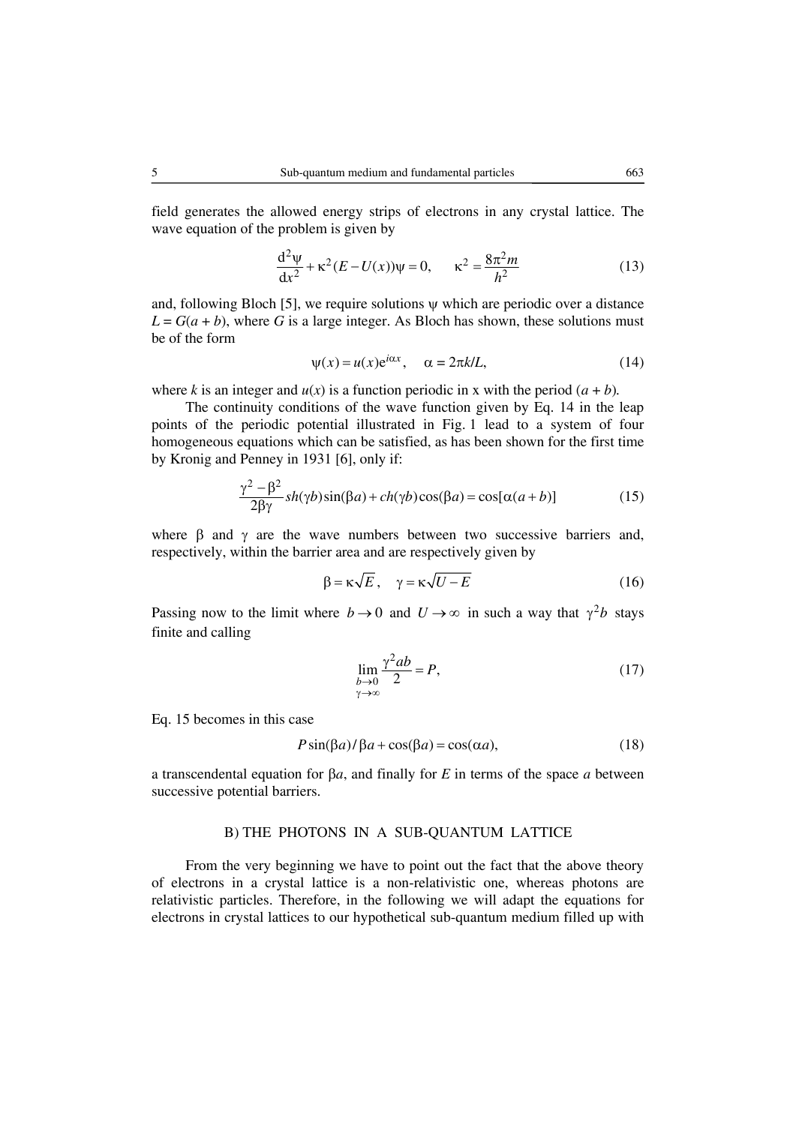field generates the allowed energy strips of electrons in any crystal lattice. The wave equation of the problem is given by

$$
\frac{d^2\psi}{dx^2} + \kappa^2 (E - U(x))\psi = 0, \qquad \kappa^2 = \frac{8\pi^2 m}{h^2}
$$
 (13)

and, following Bloch [5], we require solutions  $\psi$  which are periodic over a distance  $L = G(a + b)$ , where *G* is a large integer. As Bloch has shown, these solutions must be of the form

$$
\psi(x) = u(x)e^{i\alpha x}, \quad \alpha = 2\pi k/L,
$$
\n(14)

where *k* is an integer and  $u(x)$  is a function periodic in x with the period  $(a + b)$ .

The continuity conditions of the wave function given by Eq. 14 in the leap points of the periodic potential illustrated in Fig. 1 lead to a system of four homogeneous equations which can be satisfied, as has been shown for the first time by Kronig and Penney in 1931 [6], only if:

$$
\frac{\gamma^2 - \beta^2}{2\beta\gamma} sh(\gamma b) sin(\beta a) + ch(\gamma b) cos(\beta a) = cos[\alpha(a+b)]
$$
 (15)

where  $\beta$  and  $\gamma$  are the wave numbers between two successive barriers and, respectively, within the barrier area and are respectively given by

$$
\beta = \kappa \sqrt{E}, \quad \gamma = \kappa \sqrt{U - E} \tag{16}
$$

Passing now to the limit where  $b \to 0$  and  $U \to \infty$  in such a way that  $\gamma^2 b$  stays finite and calling

$$
\lim_{\substack{b \to 0 \\ \gamma \to \infty}} \frac{\gamma^2 ab}{2} = P,\tag{17}
$$

Eq. 15 becomes in this case

$$
P\sin(\beta a)/\beta a + \cos(\beta a) = \cos(\alpha a),\tag{18}
$$

a transcendental equation for β*a*, and finally for *E* in terms of the space *a* between successive potential barriers.

#### B) THE PHOTONS IN A SUB-QUANTUM LATTICE

From the very beginning we have to point out the fact that the above theory of electrons in a crystal lattice is a non-relativistic one, whereas photons are relativistic particles. Therefore, in the following we will adapt the equations for electrons in crystal lattices to our hypothetical sub-quantum medium filled up with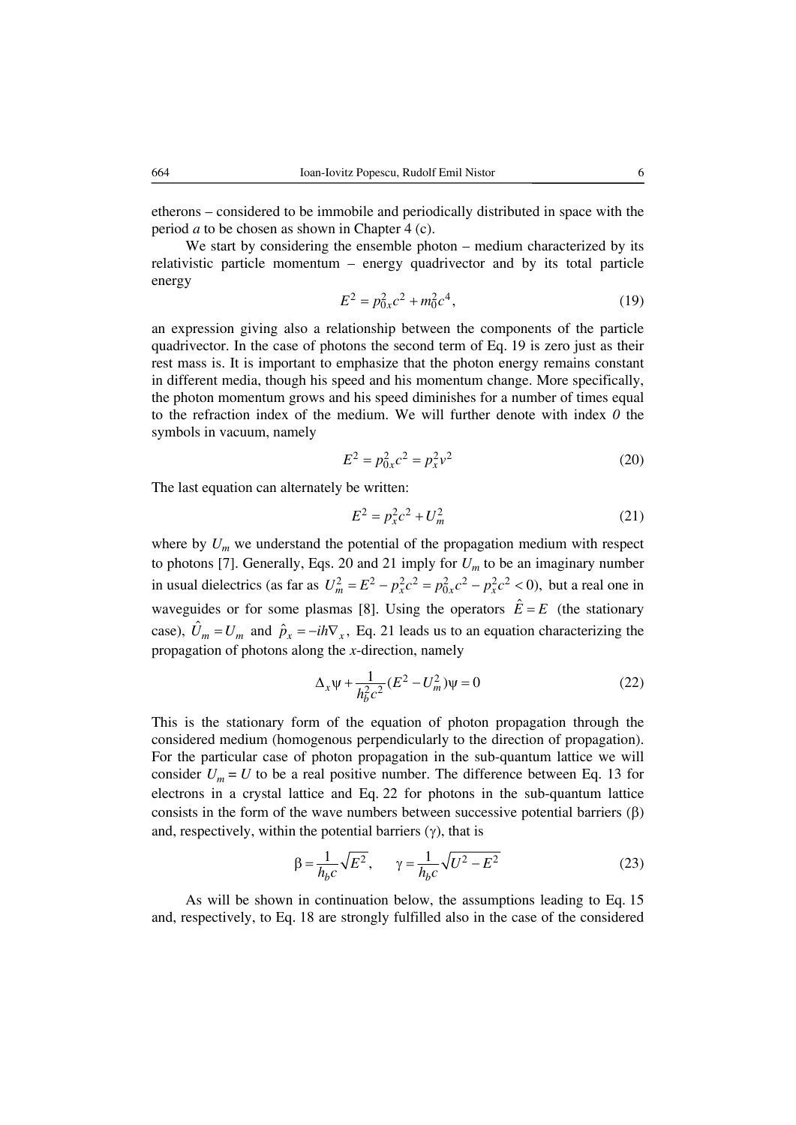etherons – considered to be immobile and periodically distributed in space with the period *a* to be chosen as shown in Chapter 4 (c).

We start by considering the ensemble photon – medium characterized by its relativistic particle momentum – energy quadrivector and by its total particle energy

$$
E^2 = p_{0x}^2 c^2 + m_0^2 c^4,\tag{19}
$$

an expression giving also a relationship between the components of the particle quadrivector. In the case of photons the second term of Eq. 19 is zero just as their rest mass is. It is important to emphasize that the photon energy remains constant in different media, though his speed and his momentum change. More specifically, the photon momentum grows and his speed diminishes for a number of times equal to the refraction index of the medium. We will further denote with index *0* the symbols in vacuum, namely

$$
E^2 = p_{0x}^2 c^2 = p_x^2 v^2
$$
 (20)

The last equation can alternately be written:

$$
E^2 = p_x^2 c^2 + U_m^2 \tag{21}
$$

where by  $U_m$  we understand the potential of the propagation medium with respect to photons [7]. Generally, Eqs. 20 and 21 imply for  $U_m$  to be an imaginary number in usual dielectrics (as far as  $U_m^2 = E^2 - p_x^2 c^2 = p_{0x}^2 c^2 - p_x^2 c^2 < 0$ ), but a real one in waveguides or for some plasmas [8]. Using the operators  $\hat{E} = E$  (the stationary case),  $\hat{U}_m = U_m$  and  $\hat{p}_x = -i\hbar \nabla_x$ , Eq. 21 leads us to an equation characterizing the propagation of photons along the *x*-direction, namely

$$
\Delta_x \psi + \frac{1}{h_b^2 c^2} (E^2 - U_m^2) \psi = 0
$$
\n(22)

This is the stationary form of the equation of photon propagation through the considered medium (homogenous perpendicularly to the direction of propagation). For the particular case of photon propagation in the sub-quantum lattice we will consider  $U_m = U$  to be a real positive number. The difference between Eq. 13 for electrons in a crystal lattice and Eq. 22 for photons in the sub-quantum lattice consists in the form of the wave numbers between successive potential barriers  $(\beta)$ and, respectively, within the potential barriers  $(\gamma)$ , that is

$$
\beta = \frac{1}{h_b c} \sqrt{E^2}, \qquad \gamma = \frac{1}{h_b c} \sqrt{U^2 - E^2}
$$
\n(23)

As will be shown in continuation below, the assumptions leading to Eq. 15 and, respectively, to Eq. 18 are strongly fulfilled also in the case of the considered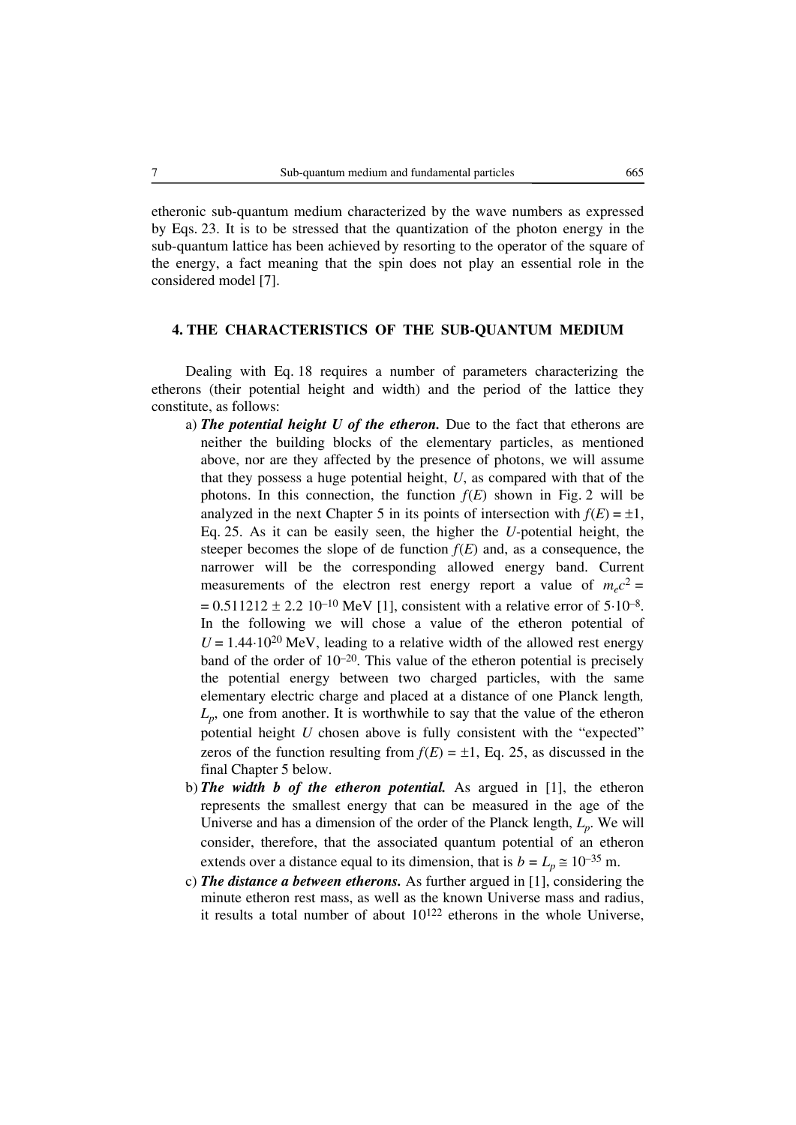etheronic sub-quantum medium characterized by the wave numbers as expressed by Eqs. 23. It is to be stressed that the quantization of the photon energy in the sub-quantum lattice has been achieved by resorting to the operator of the square of the energy, a fact meaning that the spin does not play an essential role in the considered model [7].

# **4. THE CHARACTERISTICS OF THE SUB-QUANTUM MEDIUM**

Dealing with Eq. 18 requires a number of parameters characterizing the etherons (their potential height and width) and the period of the lattice they constitute, as follows:

- a) *The potential height U of the etheron.* Due to the fact that etherons are neither the building blocks of the elementary particles, as mentioned above, nor are they affected by the presence of photons, we will assume that they possess a huge potential height, *U*, as compared with that of the photons. In this connection, the function  $f(E)$  shown in Fig. 2 will be analyzed in the next Chapter 5 in its points of intersection with  $f(E) = \pm 1$ , Eq. 25. As it can be easily seen, the higher the *U-*potential height, the steeper becomes the slope of de function  $f(E)$  and, as a consequence, the narrower will be the corresponding allowed energy band. Current measurements of the electron rest energy report a value of  $m_e c^2 =$  $= 0.511212 \pm 2.210^{-10}$  MeV [1], consistent with a relative error of 5⋅10<sup>-8</sup>. In the following we will chose a value of the etheron potential of  $U = 1.44 \cdot 10^{20}$  MeV, leading to a relative width of the allowed rest energy band of the order of  $10^{-20}$ . This value of the etheron potential is precisely the potential energy between two charged particles, with the same elementary electric charge and placed at a distance of one Planck length*,*  $L_p$ , one from another. It is worthwhile to say that the value of the etheron potential height *U* chosen above is fully consistent with the "expected" zeros of the function resulting from  $f(E) = \pm 1$ , Eq. 25, as discussed in the final Chapter 5 below.
- b) *The width b of the etheron potential.* As argued in [1], the etheron represents the smallest energy that can be measured in the age of the Universe and has a dimension of the order of the Planck length, *Lp*. We will consider, therefore, that the associated quantum potential of an etheron extends over a distance equal to its dimension, that is  $b = L_p \approx 10^{-35}$  m.
- c) *The distance a between etherons.* As further argued in [1], considering the minute etheron rest mass, as well as the known Universe mass and radius, it results a total number of about  $10^{122}$  etherons in the whole Universe,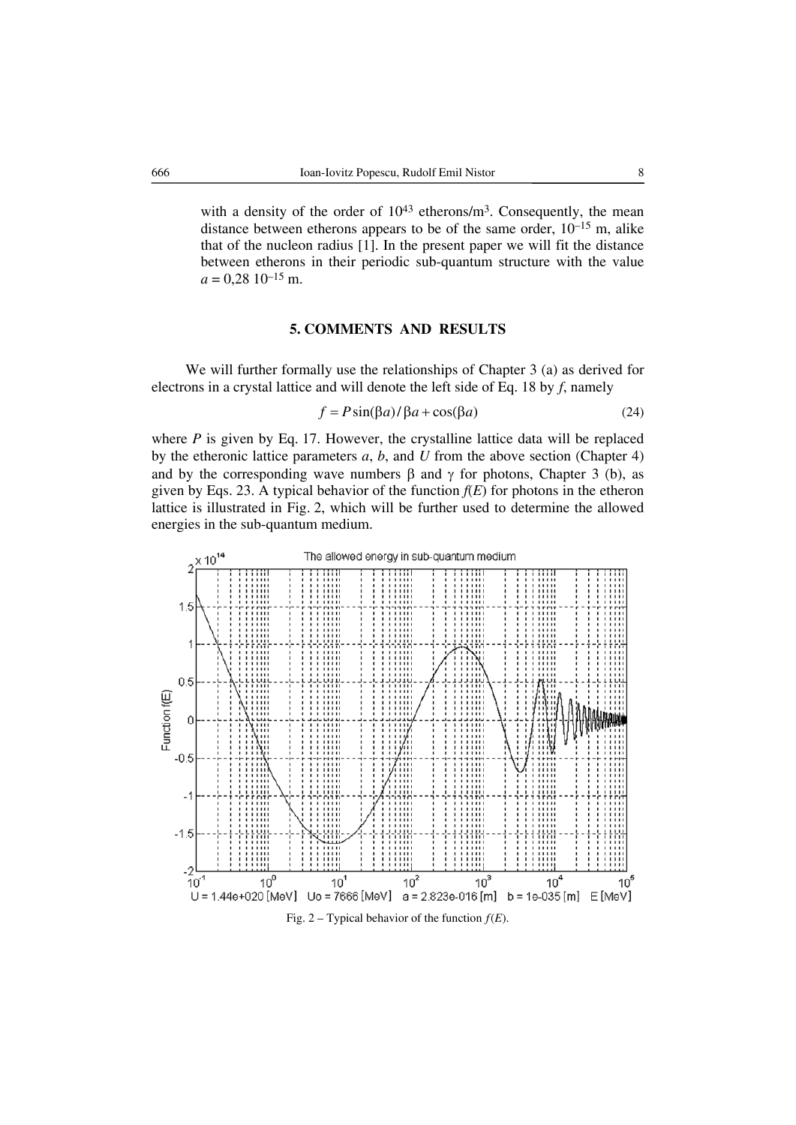with a density of the order of  $10^{43}$  etherons/m<sup>3</sup>. Consequently, the mean distance between etherons appears to be of the same order,  $10^{-15}$  m, alike that of the nucleon radius [1]. In the present paper we will fit the distance between etherons in their periodic sub-quantum structure with the value  $a = 0,28$  10<sup>-15</sup> m.

# **5. COMMENTS AND RESULTS**

We will further formally use the relationships of Chapter 3 (a) as derived for electrons in a crystal lattice and will denote the left side of Eq. 18 by *f*, namely

$$
f = P\sin(\beta a) / \beta a + \cos(\beta a)
$$
 (24)

where *P* is given by Eq. 17. However, the crystalline lattice data will be replaced by the etheronic lattice parameters *a*, *b*, and *U* from the above section (Chapter 4) and by the corresponding wave numbers  $\beta$  and  $\gamma$  for photons, Chapter 3 (b), as given by Eqs. 23. A typical behavior of the function  $f(E)$  for photons in the etheron lattice is illustrated in Fig. 2, which will be further used to determine the allowed energies in the sub-quantum medium.

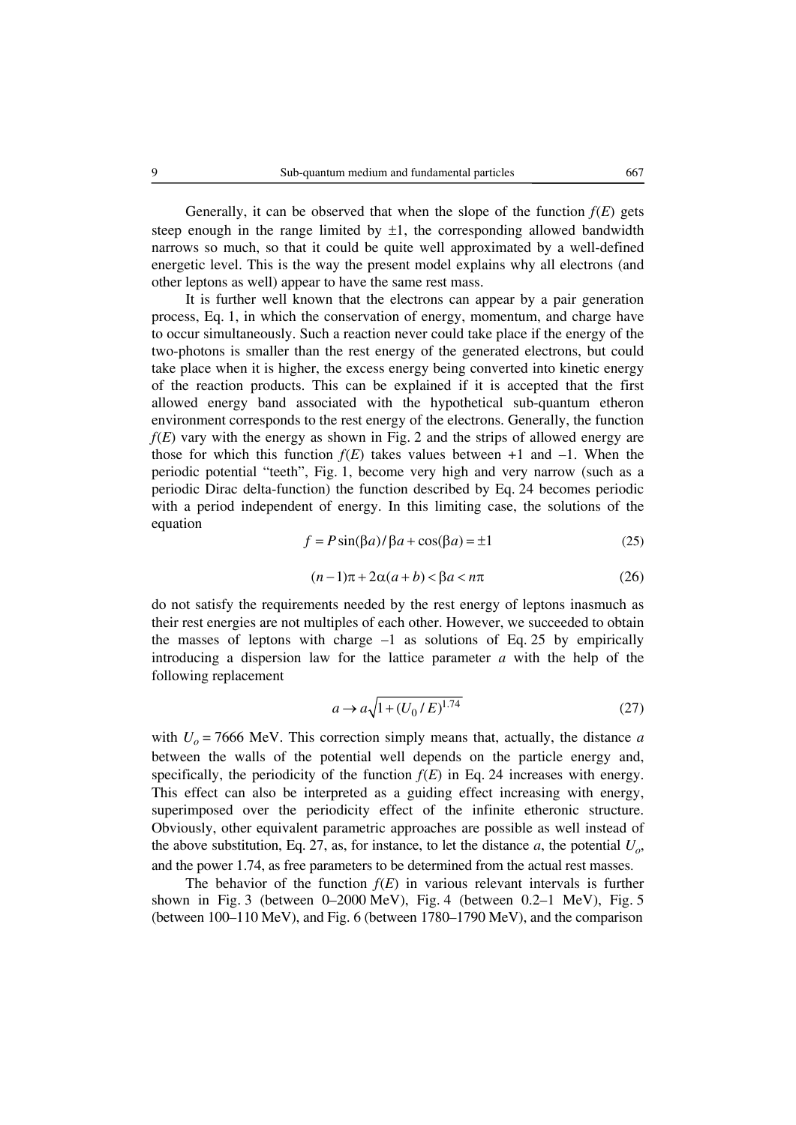Generally, it can be observed that when the slope of the function  $f(E)$  gets steep enough in the range limited by  $\pm 1$ , the corresponding allowed bandwidth narrows so much, so that it could be quite well approximated by a well-defined energetic level. This is the way the present model explains why all electrons (and other leptons as well) appear to have the same rest mass.

It is further well known that the electrons can appear by a pair generation process, Eq. 1, in which the conservation of energy, momentum, and charge have to occur simultaneously. Such a reaction never could take place if the energy of the two-photons is smaller than the rest energy of the generated electrons, but could take place when it is higher, the excess energy being converted into kinetic energy of the reaction products. This can be explained if it is accepted that the first allowed energy band associated with the hypothetical sub-quantum etheron environment corresponds to the rest energy of the electrons. Generally, the function *f*(*E*) vary with the energy as shown in Fig. 2 and the strips of allowed energy are those for which this function  $f(E)$  takes values between  $+1$  and  $-1$ . When the periodic potential "teeth", Fig. 1, become very high and very narrow (such as a periodic Dirac delta-function) the function described by Eq. 24 becomes periodic with a period independent of energy. In this limiting case, the solutions of the equation

$$
f = P\sin(\beta a) / \beta a + \cos(\beta a) = \pm 1
$$
 (25)

$$
(n-1)\pi + 2\alpha(a+b) < \beta a < n\pi \tag{26}
$$

do not satisfy the requirements needed by the rest energy of leptons inasmuch as their rest energies are not multiples of each other. However, we succeeded to obtain the masses of leptons with charge  $-1$  as solutions of Eq. 25 by empirically introducing a dispersion law for the lattice parameter *a* with the help of the following replacement

$$
a \to a\sqrt{1 + (U_0/E)^{1.74}}
$$
 (27)

with  $U<sub>o</sub> = 7666$  MeV. This correction simply means that, actually, the distance *a* between the walls of the potential well depends on the particle energy and, specifically, the periodicity of the function  $f(E)$  in Eq. 24 increases with energy. This effect can also be interpreted as a guiding effect increasing with energy, superimposed over the periodicity effect of the infinite etheronic structure. Obviously, other equivalent parametric approaches are possible as well instead of the above substitution, Eq. 27, as, for instance, to let the distance  $a$ , the potential  $U_{\alpha}$ , and the power 1.74, as free parameters to be determined from the actual rest masses.

The behavior of the function  $f(E)$  in various relevant intervals is further shown in Fig. 3 (between  $0-2000 \text{ MeV}$ ), Fig. 4 (between  $0.2-1 \text{ MeV}$ ), Fig. 5 (between 100–110 MeV), and Fig. 6 (between 1780–1790 MeV), and the comparison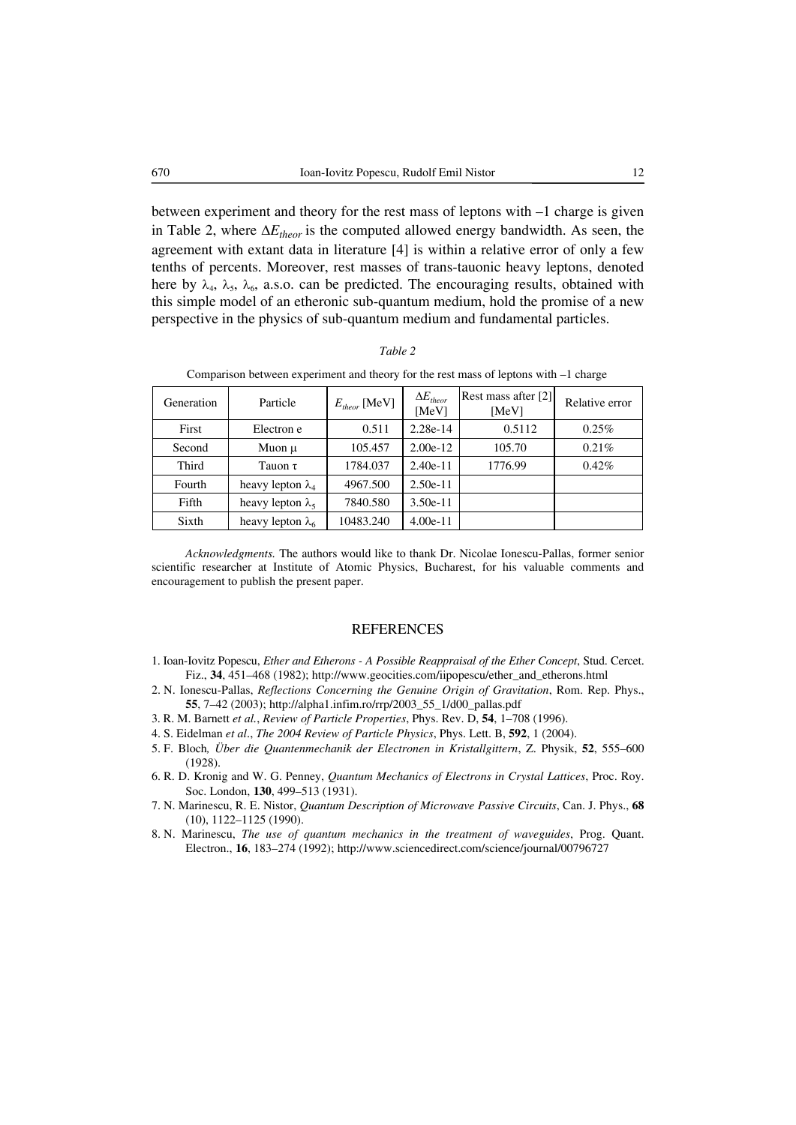between experiment and theory for the rest mass of leptons with –1 charge is given in Table 2, where  $\Delta E_{theor}$  is the computed allowed energy bandwidth. As seen, the agreement with extant data in literature [4] is within a relative error of only a few tenths of percents. Moreover, rest masses of trans-tauonic heavy leptons, denoted here by  $\lambda_4$ ,  $\lambda_5$ ,  $\lambda_6$ , a.s.o. can be predicted. The encouraging results, obtained with this simple model of an etheronic sub-quantum medium, hold the promise of a new perspective in the physics of sub-quantum medium and fundamental particles.

#### *Table 2*

| Generation | Particle                 | $E_{theor}$ [MeV] | $\Delta E$ <sub>theor</sub><br>[MeV] | Rest mass after [2]<br>[MeV] | Relative error |
|------------|--------------------------|-------------------|--------------------------------------|------------------------------|----------------|
| First      | Electron e               | 0.511             | 2.28e-14                             | 0.5112                       | 0.25%          |
| Second     | Muon $\mu$               | 105.457           | $2.00e-12$                           | 105.70                       | 0.21%          |
| Third      | Tauon $\tau$             | 1784.037          | $2.40e-11$                           | 1776.99                      | $0.42\%$       |
| Fourth     | heavy lepton $\lambda_4$ | 4967.500          | $2.50e-11$                           |                              |                |
| Fifth      | heavy lepton $\lambda_5$ | 7840.580          | $3.50e-11$                           |                              |                |
| Sixth      | heavy lepton $\lambda_6$ | 10483.240         | $4.00e-11$                           |                              |                |

Comparison between experiment and theory for the rest mass of leptons with –1 charge

*Acknowledgments.* The authors would like to thank Dr. Nicolae Ionescu-Pallas, former senior scientific researcher at Institute of Atomic Physics, Bucharest, for his valuable comments and encouragement to publish the present paper.

#### REFERENCES

- 1. Ioan-Iovitz Popescu, *Ether and Etherons A Possible Reappraisal of the Ether Concept*, Stud. Cercet. Fiz., **34**, 451–468 (1982); http://www.geocities.com/iipopescu/ether\_and\_etherons.html
- 2. N. Ionescu-Pallas, *Reflections Concerning the Genuine Origin of Gravitation*, Rom. Rep. Phys., **55**, 7–42 (2003); http://alpha1.infim.ro/rrp/2003\_55\_1/d00\_pallas.pdf
- 3. R. M. Barnett *et al.*, *Review of Particle Properties*, Phys. Rev. D, **54**, 1–708 (1996).
- 4. S. Eidelman *et al*., *The 2004 Review of Particle Physics*, Phys. Lett. B, **592**, 1 (2004).
- 5. F. Bloch*, Über die Quantenmechanik der Electronen in Kristallgittern*, Z. Physik, **52**, 555–600 (1928).
- 6. R. D. Kronig and W. G. Penney, *Quantum Mechanics of Electrons in Crystal Lattices*, Proc. Roy. Soc. London, **130**, 499–513 (1931).
- 7. N. Marinescu, R. E. Nistor, *Quantum Description of Microwave Passive Circuits*, Can. J. Phys., **68** (10), 1122–1125 (1990).
- 8. N. Marinescu, *The use of quantum mechanics in the treatment of waveguides*, Prog. Quant. Electron., **16**, 183–274 (1992); http://www.sciencedirect.com/science/journal/00796727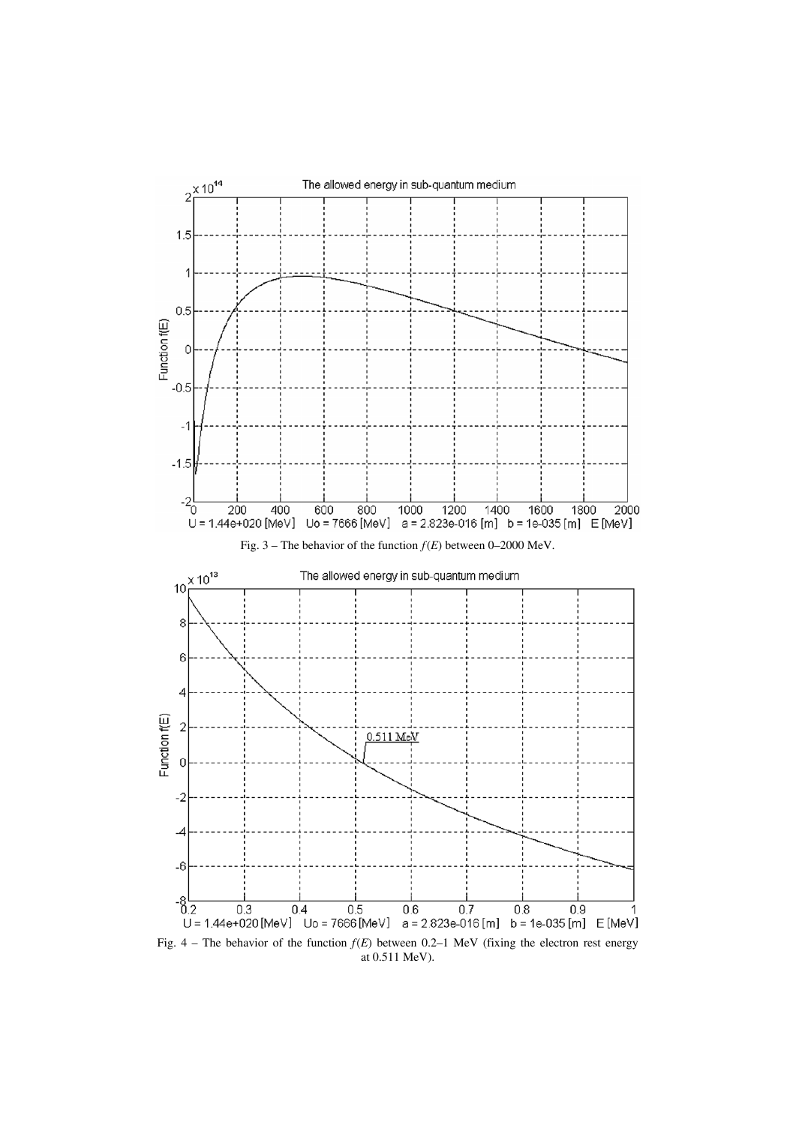

at 0.511 MeV).